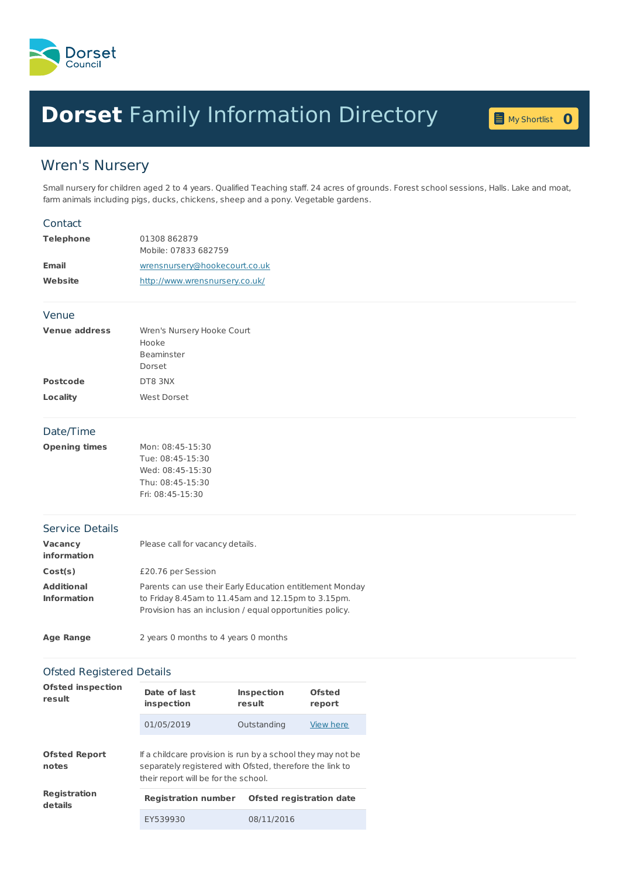

## **Dorset** Family [Information](home.page) Directory **<sup>0</sup>**



## Wren's Nursery

Small nursery for children aged 2 to 4 years. Qualified Teaching staff. 24 acres of grounds. Forest school sessions, Halls. Lake and moat, farm animals including pigs, ducks, chickens, sheep and a pony. Vegetable gardens.

| <b>Telephone</b><br>01308 862879<br>Mobile: 07833 682759<br>wrensnursery@hookecourt.co.uk<br><b>Email</b><br>Website<br>http://www.wrensnursery.co.uk/<br>Venue<br><b>Venue address</b><br>Wren's Nursery Hooke Court<br>Hooke<br>Beaminster<br>Dorset<br><b>Postcode</b><br>DT8 3NX<br><b>Locality</b><br>West Dorset<br>Date/Time<br><b>Opening times</b><br>Mon: 08:45-15:30<br>Tue: 08:45-15:30<br>Wed: 08:45-15:30<br>Thu: 08:45-15:30<br>Fri: 08:45-15:30<br><b>Service Details</b><br>Please call for vacancy details.<br>Vacancy<br>information<br>Cost(s)<br>£20.76 per Session<br><b>Additional</b><br>Parents can use their Early Education entitlement Monday<br><b>Information</b><br>to Friday 8.45am to 11.45am and 12.15pm to 3.15pm.<br>Provision has an inclusion / equal opportunities policy.<br><b>Age Range</b><br>2 years 0 months to 4 years 0 months |
|-------------------------------------------------------------------------------------------------------------------------------------------------------------------------------------------------------------------------------------------------------------------------------------------------------------------------------------------------------------------------------------------------------------------------------------------------------------------------------------------------------------------------------------------------------------------------------------------------------------------------------------------------------------------------------------------------------------------------------------------------------------------------------------------------------------------------------------------------------------------------------|
|                                                                                                                                                                                                                                                                                                                                                                                                                                                                                                                                                                                                                                                                                                                                                                                                                                                                               |
|                                                                                                                                                                                                                                                                                                                                                                                                                                                                                                                                                                                                                                                                                                                                                                                                                                                                               |
|                                                                                                                                                                                                                                                                                                                                                                                                                                                                                                                                                                                                                                                                                                                                                                                                                                                                               |
|                                                                                                                                                                                                                                                                                                                                                                                                                                                                                                                                                                                                                                                                                                                                                                                                                                                                               |
|                                                                                                                                                                                                                                                                                                                                                                                                                                                                                                                                                                                                                                                                                                                                                                                                                                                                               |
|                                                                                                                                                                                                                                                                                                                                                                                                                                                                                                                                                                                                                                                                                                                                                                                                                                                                               |
|                                                                                                                                                                                                                                                                                                                                                                                                                                                                                                                                                                                                                                                                                                                                                                                                                                                                               |
|                                                                                                                                                                                                                                                                                                                                                                                                                                                                                                                                                                                                                                                                                                                                                                                                                                                                               |
|                                                                                                                                                                                                                                                                                                                                                                                                                                                                                                                                                                                                                                                                                                                                                                                                                                                                               |
|                                                                                                                                                                                                                                                                                                                                                                                                                                                                                                                                                                                                                                                                                                                                                                                                                                                                               |
|                                                                                                                                                                                                                                                                                                                                                                                                                                                                                                                                                                                                                                                                                                                                                                                                                                                                               |
|                                                                                                                                                                                                                                                                                                                                                                                                                                                                                                                                                                                                                                                                                                                                                                                                                                                                               |
|                                                                                                                                                                                                                                                                                                                                                                                                                                                                                                                                                                                                                                                                                                                                                                                                                                                                               |
|                                                                                                                                                                                                                                                                                                                                                                                                                                                                                                                                                                                                                                                                                                                                                                                                                                                                               |
|                                                                                                                                                                                                                                                                                                                                                                                                                                                                                                                                                                                                                                                                                                                                                                                                                                                                               |
|                                                                                                                                                                                                                                                                                                                                                                                                                                                                                                                                                                                                                                                                                                                                                                                                                                                                               |
|                                                                                                                                                                                                                                                                                                                                                                                                                                                                                                                                                                                                                                                                                                                                                                                                                                                                               |
|                                                                                                                                                                                                                                                                                                                                                                                                                                                                                                                                                                                                                                                                                                                                                                                                                                                                               |
|                                                                                                                                                                                                                                                                                                                                                                                                                                                                                                                                                                                                                                                                                                                                                                                                                                                                               |
|                                                                                                                                                                                                                                                                                                                                                                                                                                                                                                                                                                                                                                                                                                                                                                                                                                                                               |
|                                                                                                                                                                                                                                                                                                                                                                                                                                                                                                                                                                                                                                                                                                                                                                                                                                                                               |
|                                                                                                                                                                                                                                                                                                                                                                                                                                                                                                                                                                                                                                                                                                                                                                                                                                                                               |
|                                                                                                                                                                                                                                                                                                                                                                                                                                                                                                                                                                                                                                                                                                                                                                                                                                                                               |
|                                                                                                                                                                                                                                                                                                                                                                                                                                                                                                                                                                                                                                                                                                                                                                                                                                                                               |
|                                                                                                                                                                                                                                                                                                                                                                                                                                                                                                                                                                                                                                                                                                                                                                                                                                                                               |
| <b>Ofsted Registered Details</b>                                                                                                                                                                                                                                                                                                                                                                                                                                                                                                                                                                                                                                                                                                                                                                                                                                              |
| <b>Ofsted inspection</b>                                                                                                                                                                                                                                                                                                                                                                                                                                                                                                                                                                                                                                                                                                                                                                                                                                                      |
| Date of last<br><b>Ofsted</b><br><b>Inspection</b><br>result<br>result<br>inspection<br>report                                                                                                                                                                                                                                                                                                                                                                                                                                                                                                                                                                                                                                                                                                                                                                                |
| 01/05/2019<br>Outstanding<br>View here                                                                                                                                                                                                                                                                                                                                                                                                                                                                                                                                                                                                                                                                                                                                                                                                                                        |
|                                                                                                                                                                                                                                                                                                                                                                                                                                                                                                                                                                                                                                                                                                                                                                                                                                                                               |
| If a childcare provision is run by a school they may not be<br><b>Ofsted Report</b>                                                                                                                                                                                                                                                                                                                                                                                                                                                                                                                                                                                                                                                                                                                                                                                           |
| separately registered with Ofsted, therefore the link to<br>notes<br>their report will be for the school.                                                                                                                                                                                                                                                                                                                                                                                                                                                                                                                                                                                                                                                                                                                                                                     |

| Registration<br>details | <b>Registration number</b> | Ofsted registration date |  |
|-------------------------|----------------------------|--------------------------|--|
|                         | EY539930                   | 08/11/2016               |  |